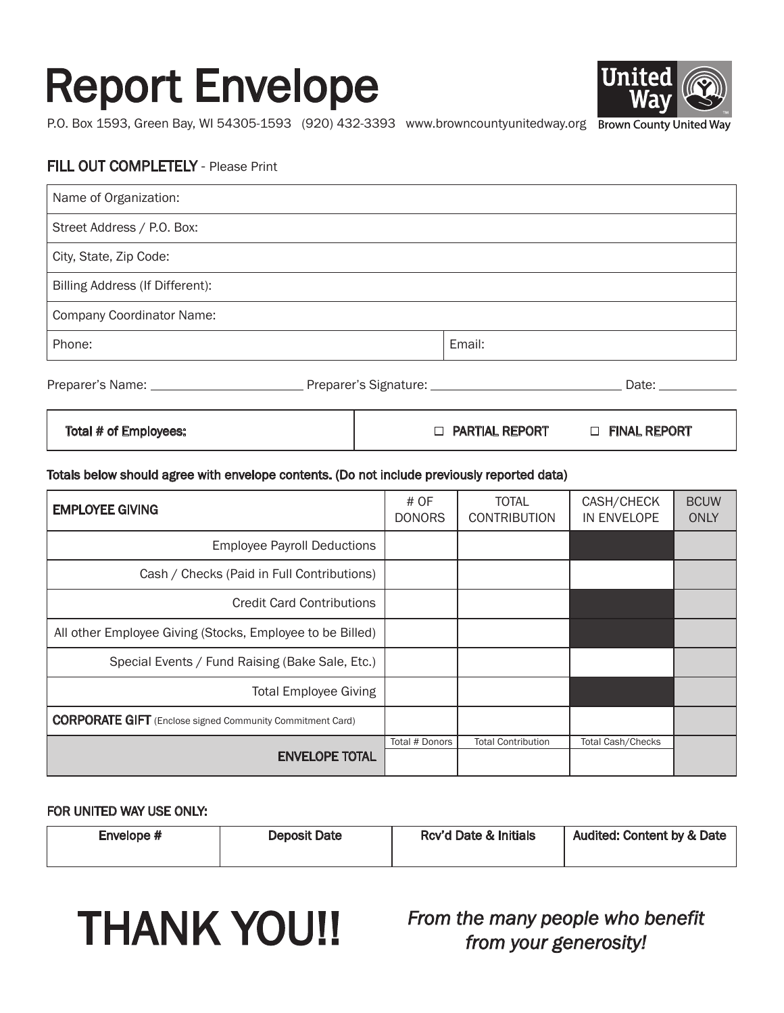## Report Envelope



P.O. Box 1593, Green Bay, WI 54305-1593 (920) 432-3393 www.browncountyunitedway.org Brown County United Way

#### FILL OUT COMPLETELY - Please Print

| Name of Organization:                  |        |                                                                                                                                                                                                                                |
|----------------------------------------|--------|--------------------------------------------------------------------------------------------------------------------------------------------------------------------------------------------------------------------------------|
| Street Address / P.O. Box:             |        |                                                                                                                                                                                                                                |
| City, State, Zip Code:                 |        |                                                                                                                                                                                                                                |
| Billing Address (If Different):        |        |                                                                                                                                                                                                                                |
| <b>Company Coordinator Name:</b>       |        |                                                                                                                                                                                                                                |
| Phone:                                 | Email: |                                                                                                                                                                                                                                |
| Preparer's Signature: ________________ |        | Date: the control of the control of the control of the control of the control of the control of the control of the control of the control of the control of the control of the control of the control of the control of the co |

| Total # of Employees: | <b>D PARTIAL REPORT</b> | <b>FINAL REPORT</b><br>$\Box$ |
|-----------------------|-------------------------|-------------------------------|
|                       |                         |                               |

#### Totals below should agree with envelope contents. (Do not include previously reported data)

| <b>EMPLOYEE GIVING</b>                                           | # OF<br><b>DONORS</b> | <b>TOTAL</b><br><b>CONTRIBUTION</b> | CASH/CHECK<br>IN ENVELOPE | <b>BCUW</b><br>ONLY |
|------------------------------------------------------------------|-----------------------|-------------------------------------|---------------------------|---------------------|
| <b>Employee Payroll Deductions</b>                               |                       |                                     |                           |                     |
| Cash / Checks (Paid in Full Contributions)                       |                       |                                     |                           |                     |
| <b>Credit Card Contributions</b>                                 |                       |                                     |                           |                     |
| All other Employee Giving (Stocks, Employee to be Billed)        |                       |                                     |                           |                     |
| Special Events / Fund Raising (Bake Sale, Etc.)                  |                       |                                     |                           |                     |
| <b>Total Employee Giving</b>                                     |                       |                                     |                           |                     |
| <b>CORPORATE GIFT</b> (Enclose signed Community Commitment Card) |                       |                                     |                           |                     |
| <b>ENVELOPE TOTAL</b>                                            | Total # Donors        | <b>Total Contribution</b>           | <b>Total Cash/Checks</b>  |                     |

#### FOR UNITED WAY USE ONLY:

| Envelope # | <b>Deposit Date</b> | Rcv'd Date & Initials | <b>Audited: Content by &amp; Date</b> |
|------------|---------------------|-----------------------|---------------------------------------|
|            |                     |                       |                                       |



THANK YOU!! *From the many people who benefit from your generosity!*